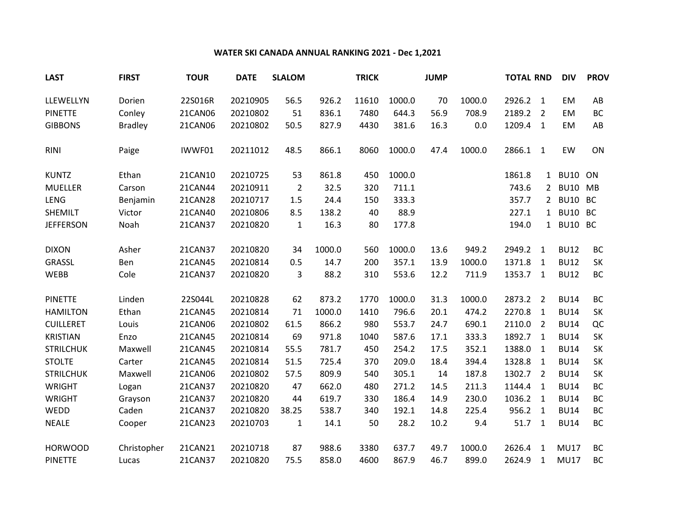## **WATER SKI CANADA ANNUAL RANKING 2021 - Dec 1,2021**

| <b>LAST</b>      | <b>FIRST</b>   | <b>TOUR</b> | <b>DATE</b> | <b>SLALOM</b>  |        | <b>TRICK</b> |        | <b>JUMP</b> |        | <b>TOTAL RND</b> |                | <b>DIV</b>  | <b>PROV</b> |
|------------------|----------------|-------------|-------------|----------------|--------|--------------|--------|-------------|--------|------------------|----------------|-------------|-------------|
| LLEWELLYN        | Dorien         | 22S016R     | 20210905    | 56.5           | 926.2  | 11610        | 1000.0 | 70          | 1000.0 | 2926.2 1         |                | <b>EM</b>   | AB          |
| <b>PINETTE</b>   | Conley         | 21CAN06     | 20210802    | 51             | 836.1  | 7480         | 644.3  | 56.9        | 708.9  | 2189.2 2         |                | <b>EM</b>   | <b>BC</b>   |
| <b>GIBBONS</b>   | <b>Bradley</b> | 21CAN06     | 20210802    | 50.5           | 827.9  | 4430         | 381.6  | 16.3        | 0.0    | 1209.4 1         |                | EM          | AB          |
| <b>RINI</b>      | Paige          | IWWF01      | 20211012    | 48.5           | 866.1  | 8060         | 1000.0 | 47.4        | 1000.0 | 2866.1 1         |                | EW          | ON          |
| <b>KUNTZ</b>     | Ethan          | 21CAN10     | 20210725    | 53             | 861.8  | 450          | 1000.0 |             |        | 1861.8           |                | 1 BU10 ON   |             |
| <b>MUELLER</b>   | Carson         | 21CAN44     | 20210911    | $\overline{2}$ | 32.5   | 320          | 711.1  |             |        | 743.6            | $2^{\circ}$    | BU10 MB     |             |
| <b>LENG</b>      | Benjamin       | 21CAN28     | 20210717    | 1.5            | 24.4   | 150          | 333.3  |             |        | 357.7            |                | 2 BU10 BC   |             |
| SHEMILT          | Victor         | 21CAN40     | 20210806    | 8.5            | 138.2  | 40           | 88.9   |             |        | 227.1            |                | 1 BU10 BC   |             |
| <b>JEFFERSON</b> | Noah           | 21CAN37     | 20210820    | $\mathbf{1}$   | 16.3   | 80           | 177.8  |             |        | 194.0            |                | 1 BU10 BC   |             |
| <b>DIXON</b>     | Asher          | 21CAN37     | 20210820    | 34             | 1000.0 | 560          | 1000.0 | 13.6        | 949.2  | 2949.2           | $\overline{1}$ | <b>BU12</b> | <b>BC</b>   |
| GRASSL           | Ben            | 21CAN45     | 20210814    | 0.5            | 14.7   | 200          | 357.1  | 13.9        | 1000.0 | 1371.8           | 1              | <b>BU12</b> | SK          |
| WEBB             | Cole           | 21CAN37     | 20210820    | 3              | 88.2   | 310          | 553.6  | 12.2        | 711.9  | 1353.7 1         |                | <b>BU12</b> | <b>BC</b>   |
| <b>PINETTE</b>   | Linden         | 22S044L     | 20210828    | 62             | 873.2  | 1770         | 1000.0 | 31.3        | 1000.0 | 2873.2           | $\overline{2}$ | <b>BU14</b> | BC          |
| <b>HAMILTON</b>  | Ethan          | 21CAN45     | 20210814    | 71             | 1000.0 | 1410         | 796.6  | 20.1        | 474.2  | 2270.8           | $\overline{1}$ | <b>BU14</b> | SK          |
| <b>CUILLERET</b> | Louis          | 21CAN06     | 20210802    | 61.5           | 866.2  | 980          | 553.7  | 24.7        | 690.1  | 2110.0           | $\overline{2}$ | <b>BU14</b> | QC          |
| <b>KRISTIAN</b>  | Enzo           | 21CAN45     | 20210814    | 69             | 971.8  | 1040         | 587.6  | 17.1        | 333.3  | 1892.7           | $\overline{1}$ | <b>BU14</b> | SK          |
| <b>STRILCHUK</b> | Maxwell        | 21CAN45     | 20210814    | 55.5           | 781.7  | 450          | 254.2  | 17.5        | 352.1  | 1388.0           | $\overline{1}$ | <b>BU14</b> | SK          |
| <b>STOLTE</b>    | Carter         | 21CAN45     | 20210814    | 51.5           | 725.4  | 370          | 209.0  | 18.4        | 394.4  | 1328.8           | $\overline{1}$ | <b>BU14</b> | SK          |
| <b>STRILCHUK</b> | Maxwell        | 21CAN06     | 20210802    | 57.5           | 809.9  | 540          | 305.1  | 14          | 187.8  | 1302.7           | $\overline{2}$ | <b>BU14</b> | SK          |
| <b>WRIGHT</b>    | Logan          | 21CAN37     | 20210820    | 47             | 662.0  | 480          | 271.2  | 14.5        | 211.3  | 1144.4           | $\overline{1}$ | <b>BU14</b> | <b>BC</b>   |
| <b>WRIGHT</b>    | Grayson        | 21CAN37     | 20210820    | 44             | 619.7  | 330          | 186.4  | 14.9        | 230.0  | 1036.2           | $\overline{1}$ | <b>BU14</b> | BC          |
| WEDD             | Caden          | 21CAN37     | 20210820    | 38.25          | 538.7  | 340          | 192.1  | 14.8        | 225.4  | 956.2            | $\overline{1}$ | <b>BU14</b> | <b>BC</b>   |
| <b>NEALE</b>     | Cooper         | 21CAN23     | 20210703    | $\mathbf{1}$   | 14.1   | 50           | 28.2   | 10.2        | 9.4    | 51.7 1           |                | <b>BU14</b> | <b>BC</b>   |
| <b>HORWOOD</b>   | Christopher    | 21CAN21     | 20210718    | 87             | 988.6  | 3380         | 637.7  | 49.7        | 1000.0 | 2626.4           | 1              | <b>MU17</b> | <b>BC</b>   |
| <b>PINETTE</b>   | Lucas          | 21CAN37     | 20210820    | 75.5           | 858.0  | 4600         | 867.9  | 46.7        | 899.0  | 2624.9           | 1              | <b>MU17</b> | <b>BC</b>   |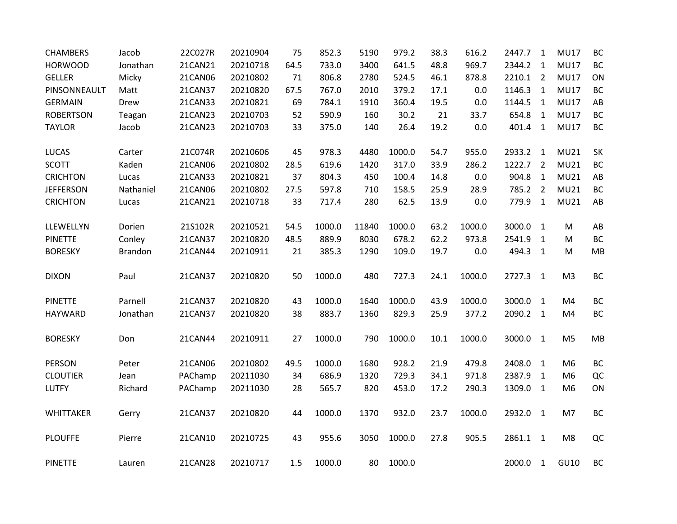| <b>CHAMBERS</b>  | Jacob          | 22C027R | 20210904 | 75   | 852.3  | 5190  | 979.2  | 38.3 | 616.2  | 2447.7   | 1              | <b>MU17</b>    | BC        |
|------------------|----------------|---------|----------|------|--------|-------|--------|------|--------|----------|----------------|----------------|-----------|
| <b>HORWOOD</b>   | Jonathan       | 21CAN21 | 20210718 | 64.5 | 733.0  | 3400  | 641.5  | 48.8 | 969.7  | 2344.2   | $\mathbf{1}$   | <b>MU17</b>    | BC        |
| <b>GELLER</b>    | Micky          | 21CAN06 | 20210802 | 71   | 806.8  | 2780  | 524.5  | 46.1 | 878.8  | 2210.1   | $\overline{2}$ | <b>MU17</b>    | ON        |
| PINSONNEAULT     | Matt           | 21CAN37 | 20210820 | 67.5 | 767.0  | 2010  | 379.2  | 17.1 | 0.0    | 1146.3   | $\mathbf{1}$   | <b>MU17</b>    | BC        |
| <b>GERMAIN</b>   | Drew           | 21CAN33 | 20210821 | 69   | 784.1  | 1910  | 360.4  | 19.5 | 0.0    | 1144.5   | $\mathbf{1}$   | <b>MU17</b>    | AB        |
| <b>ROBERTSON</b> | Teagan         | 21CAN23 | 20210703 | 52   | 590.9  | 160   | 30.2   | 21   | 33.7   | 654.8    | $\mathbf{1}$   | <b>MU17</b>    | BC        |
| <b>TAYLOR</b>    | Jacob          | 21CAN23 | 20210703 | 33   | 375.0  | 140   | 26.4   | 19.2 | 0.0    | 401.4    | $\mathbf{1}$   | <b>MU17</b>    | <b>BC</b> |
| <b>LUCAS</b>     | Carter         | 21C074R | 20210606 | 45   | 978.3  | 4480  | 1000.0 | 54.7 | 955.0  | 2933.2   | $\mathbf{1}$   | <b>MU21</b>    | SK        |
| <b>SCOTT</b>     | Kaden          | 21CAN06 | 20210802 | 28.5 | 619.6  | 1420  | 317.0  | 33.9 | 286.2  | 1222.7   | $\overline{2}$ | <b>MU21</b>    | ВC        |
| <b>CRICHTON</b>  | Lucas          | 21CAN33 | 20210821 | 37   | 804.3  | 450   | 100.4  | 14.8 | 0.0    | 904.8    | $\mathbf{1}$   | <b>MU21</b>    | AB        |
| <b>JEFFERSON</b> | Nathaniel      | 21CAN06 | 20210802 | 27.5 | 597.8  | 710   | 158.5  | 25.9 | 28.9   | 785.2    | $\overline{2}$ | <b>MU21</b>    | BC        |
| <b>CRICHTON</b>  | Lucas          | 21CAN21 | 20210718 | 33   | 717.4  | 280   | 62.5   | 13.9 | 0.0    | 779.9    | $\mathbf{1}$   | <b>MU21</b>    | AB        |
| LLEWELLYN        | Dorien         | 21S102R | 20210521 | 54.5 | 1000.0 | 11840 | 1000.0 | 63.2 | 1000.0 | 3000.0   | $\mathbf{1}$   | M              | AB        |
| <b>PINETTE</b>   | Conley         | 21CAN37 | 20210820 | 48.5 | 889.9  | 8030  | 678.2  | 62.2 | 973.8  | 2541.9   | $\mathbf{1}$   | M              | BC        |
| <b>BORESKY</b>   | <b>Brandon</b> | 21CAN44 | 20210911 | 21   | 385.3  | 1290  | 109.0  | 19.7 | 0.0    | 494.3    | $\mathbf{1}$   | M              | MB        |
| <b>DIXON</b>     | Paul           | 21CAN37 | 20210820 | 50   | 1000.0 | 480   | 727.3  | 24.1 | 1000.0 | 2727.3 1 |                | M <sub>3</sub> | BC        |
| <b>PINETTE</b>   | Parnell        | 21CAN37 | 20210820 | 43   | 1000.0 | 1640  | 1000.0 | 43.9 | 1000.0 | 3000.0   | $\mathbf{1}$   | M4             | BC        |
| HAYWARD          | Jonathan       | 21CAN37 | 20210820 | 38   | 883.7  | 1360  | 829.3  | 25.9 | 377.2  | 2090.2 1 |                | M <sub>4</sub> | BC        |
| <b>BORESKY</b>   | Don            | 21CAN44 | 20210911 | 27   | 1000.0 | 790   | 1000.0 | 10.1 | 1000.0 | 3000.0 1 |                | M <sub>5</sub> | MB        |
| PERSON           | Peter          | 21CAN06 | 20210802 | 49.5 | 1000.0 | 1680  | 928.2  | 21.9 | 479.8  | 2408.0   | $\mathbf{1}$   | M <sub>6</sub> | BC        |
| <b>CLOUTIER</b>  | Jean           | PAChamp | 20211030 | 34   | 686.9  | 1320  | 729.3  | 34.1 | 971.8  | 2387.9   | $\mathbf{1}$   | M <sub>6</sub> | QC        |
| <b>LUTFY</b>     | Richard        | PAChamp | 20211030 | 28   | 565.7  | 820   | 453.0  | 17.2 | 290.3  | 1309.0   | $\mathbf{1}$   | M <sub>6</sub> | ON        |
| <b>WHITTAKER</b> | Gerry          | 21CAN37 | 20210820 | 44   | 1000.0 | 1370  | 932.0  | 23.7 | 1000.0 | 2932.0 1 |                | M7             | ВC        |
| <b>PLOUFFE</b>   | Pierre         | 21CAN10 | 20210725 | 43   | 955.6  | 3050  | 1000.0 | 27.8 | 905.5  | 2861.1 1 |                | M <sub>8</sub> | QC        |
| <b>PINETTE</b>   | Lauren         | 21CAN28 | 20210717 | 1.5  | 1000.0 | 80    | 1000.0 |      |        | 2000.0 1 |                | GU10           | BC        |